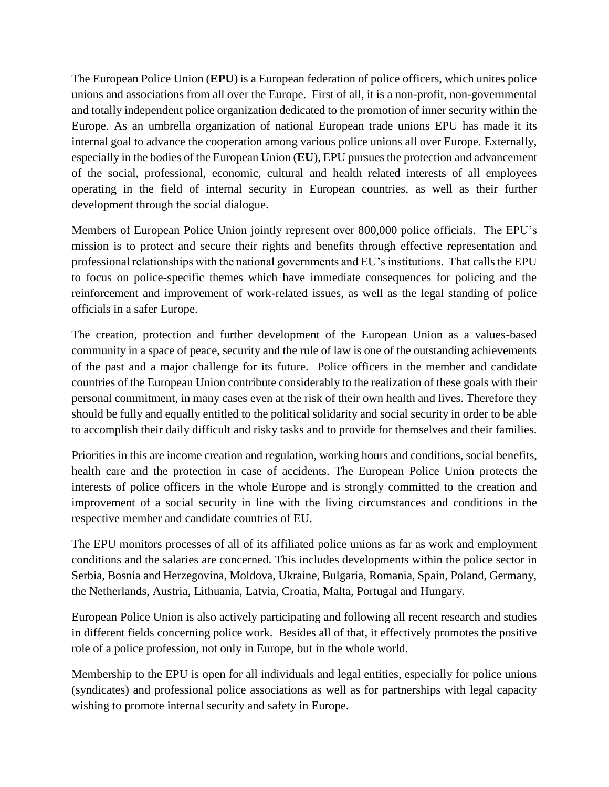The European Police Union (**EPU**) is a European federation of police officers, which unites police unions and associations from all over the Europe. First of all, it is a non-profit, non-governmental and totally independent police organization dedicated to the promotion of inner security within the Europe. As an umbrella organization of national European trade unions EPU has made it its internal goal to advance the cooperation among various police unions all over Europe. Externally, especially in the bodies of the European Union (**EU**), EPU pursues the protection and advancement of the social, professional, economic, cultural and health related interests of all employees operating in the field of internal security in European countries, as well as their further development through the social dialogue.

Members of European Police Union jointly represent over 800,000 police officials. The EPU's mission is to protect and secure their rights and benefits through effective representation and professional relationships with the national governments and EU's institutions. That calls the EPU to focus on police-specific themes which have immediate consequences for policing and the reinforcement and improvement of work-related issues, as well as the legal standing of police officials in a safer Europe.

The creation, protection and further development of the European Union as a values-based community in a space of peace, security and the rule of law is one of the outstanding achievements of the past and a major challenge for its future. Police officers in the member and candidate countries of the European Union contribute considerably to the realization of these goals with their personal commitment, in many cases even at the risk of their own health and lives. Therefore they should be fully and equally entitled to the political solidarity and social security in order to be able to accomplish their daily difficult and risky tasks and to provide for themselves and their families.

Priorities in this are income creation and regulation, working hours and conditions, social benefits, health care and the protection in case of accidents. The European Police Union protects the interests of police officers in the whole Europe and is strongly committed to the creation and improvement of a social security in line with the living circumstances and conditions in the respective member and candidate countries of EU.

The EPU monitors processes of all of its affiliated police unions as far as work and employment conditions and the salaries are concerned. This includes developments within the police sector in Serbia, Bosnia and Herzegovina, Moldova, Ukraine, Bulgaria, Romania, Spain, Poland, Germany, the Netherlands, Austria, Lithuania, Latvia, Croatia, Malta, Portugal and Hungary.

European Police Union is also actively participating and following all recent research and studies in different fields concerning police work. Besides all of that, it effectively promotes the positive role of a police profession, not only in Europe, but in the whole world.

Membership to the EPU is open for all individuals and legal entities, especially for police unions (syndicates) and professional police associations as well as for partnerships with legal capacity wishing to promote internal security and safety in Europe.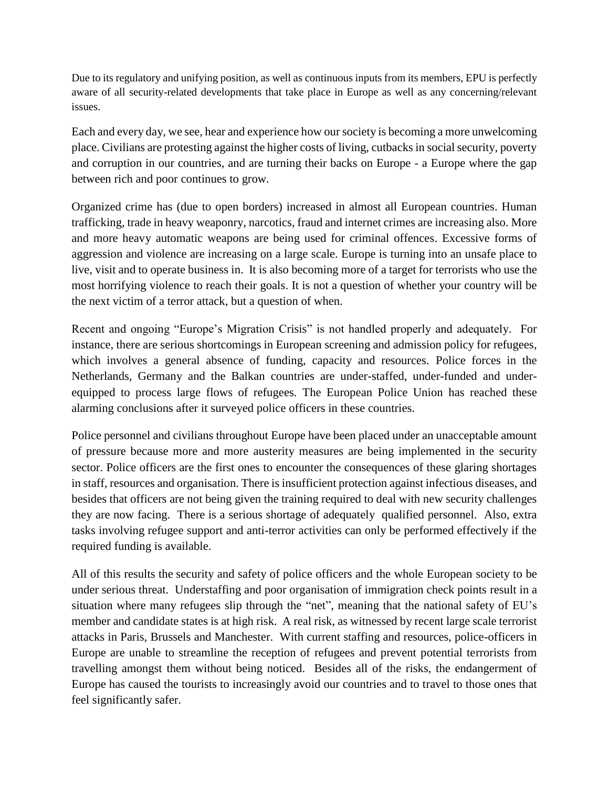Due to its regulatory and unifying position, as well as continuous inputs from its members, EPU is perfectly aware of all security-related developments that take place in Europe as well as any concerning/relevant issues.

Each and every day, we see, hear and experience how our society is becoming a more unwelcoming place. Civilians are protesting against the higher costs of living, cutbacks in social security, poverty and corruption in our countries, and are turning their backs on Europe - a Europe where the gap between rich and poor continues to grow.

Organized crime has (due to open borders) increased in almost all European countries. Human trafficking, trade in heavy weaponry, narcotics, fraud and internet crimes are increasing also. More and more heavy automatic weapons are being used for criminal offences. Excessive forms of aggression and violence are increasing on a large scale. Europe is turning into an unsafe place to live, visit and to operate business in. It is also becoming more of a target for terrorists who use the most horrifying violence to reach their goals. It is not a question of whether your country will be the next victim of a terror attack, but a question of when.

Recent and ongoing "Europe's Migration Crisis" is not handled properly and adequately. For instance, there are serious shortcomings in European screening and admission policy for refugees, which involves a general absence of funding, capacity and resources. Police forces in the Netherlands, Germany and the Balkan countries are under-staffed, under-funded and underequipped to process large flows of refugees. The European Police Union has reached these alarming conclusions after it surveyed police officers in these countries.

Police personnel and civilians throughout Europe have been placed under an unacceptable amount of pressure because more and more austerity measures are being implemented in the security sector. Police officers are the first ones to encounter the consequences of these glaring shortages in staff, resources and organisation. There is insufficient protection against infectious diseases, and besides that officers are not being given the training required to deal with new security challenges they are now facing. There is a serious shortage of adequately qualified personnel. Also, extra tasks involving refugee support and anti-terror activities can only be performed effectively if the required funding is available.

All of this results the security and safety of police officers and the whole European society to be under serious threat. Understaffing and poor organisation of immigration check points result in a situation where many refugees slip through the "net", meaning that the national safety of EU's member and candidate states is at high risk. A real risk, as witnessed by recent large scale terrorist attacks in Paris, Brussels and Manchester. With current staffing and resources, police-officers in Europe are unable to streamline the reception of refugees and prevent potential terrorists from travelling amongst them without being noticed. Besides all of the risks, the endangerment of Europe has caused the tourists to increasingly avoid our countries and to travel to those ones that feel significantly safer.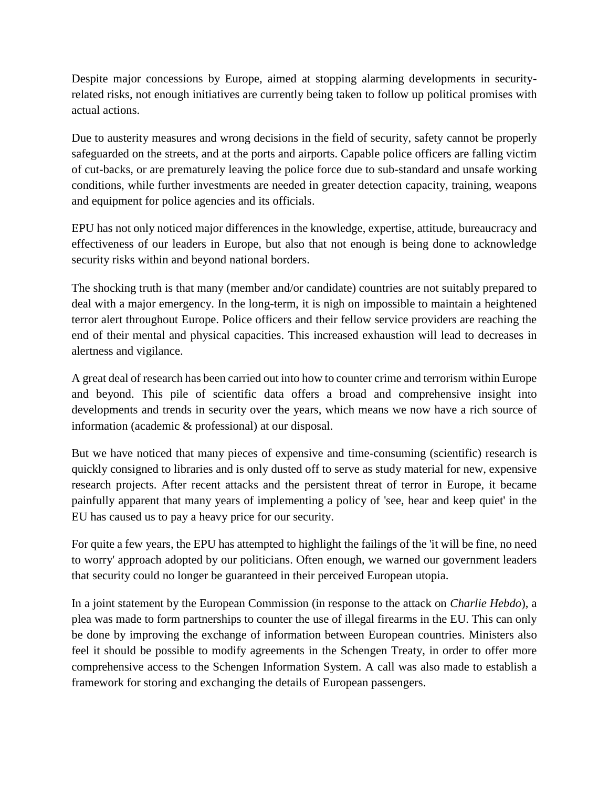Despite major concessions by Europe, aimed at stopping alarming developments in securityrelated risks, not enough initiatives are currently being taken to follow up political promises with actual actions.

Due to austerity measures and wrong decisions in the field of security, safety cannot be properly safeguarded on the streets, and at the ports and airports. Capable police officers are falling victim of cut-backs, or are prematurely leaving the police force due to sub-standard and unsafe working conditions, while further investments are needed in greater detection capacity, training, weapons and equipment for police agencies and its officials.

EPU has not only noticed major differences in the knowledge, expertise, attitude, bureaucracy and effectiveness of our leaders in Europe, but also that not enough is being done to acknowledge security risks within and beyond national borders.

The shocking truth is that many (member and/or candidate) countries are not suitably prepared to deal with a major emergency. In the long-term, it is nigh on impossible to maintain a heightened terror alert throughout Europe. Police officers and their fellow service providers are reaching the end of their mental and physical capacities. This increased exhaustion will lead to decreases in alertness and vigilance.

A great deal of research has been carried out into how to counter crime and terrorism within Europe and beyond. This pile of scientific data offers a broad and comprehensive insight into developments and trends in security over the years, which means we now have a rich source of information (academic & professional) at our disposal.

But we have noticed that many pieces of expensive and time-consuming (scientific) research is quickly consigned to libraries and is only dusted off to serve as study material for new, expensive research projects. After recent attacks and the persistent threat of terror in Europe, it became painfully apparent that many years of implementing a policy of 'see, hear and keep quiet' in the EU has caused us to pay a heavy price for our security.

For quite a few years, the EPU has attempted to highlight the failings of the 'it will be fine, no need to worry' approach adopted by our politicians. Often enough, we warned our government leaders that security could no longer be guaranteed in their perceived European utopia.

In a joint statement by the European Commission (in response to the attack on *Charlie Hebdo*), a plea was made to form partnerships to counter the use of illegal firearms in the EU. This can only be done by improving the exchange of information between European countries. Ministers also feel it should be possible to modify agreements in the Schengen Treaty, in order to offer more comprehensive access to the Schengen Information System. A call was also made to establish a framework for storing and exchanging the details of European passengers.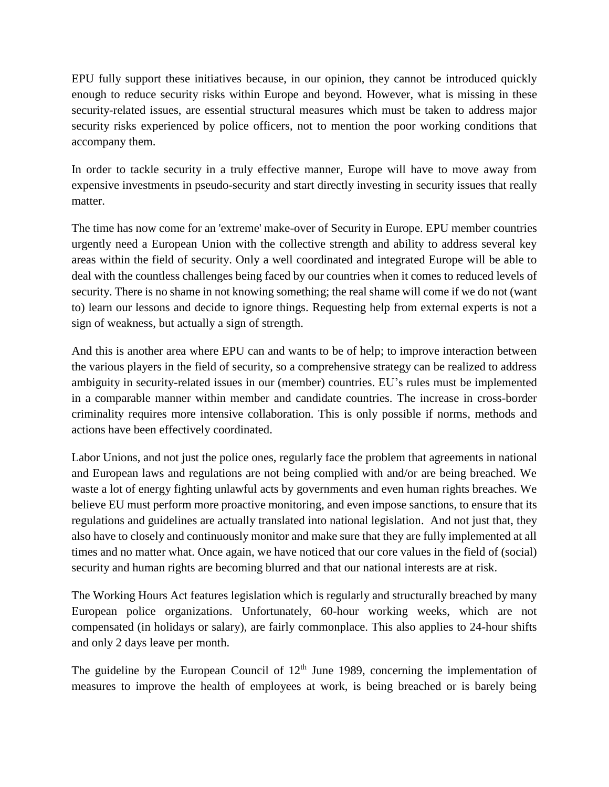EPU fully support these initiatives because, in our opinion, they cannot be introduced quickly enough to reduce security risks within Europe and beyond. However, what is missing in these security-related issues, are essential structural measures which must be taken to address major security risks experienced by police officers, not to mention the poor working conditions that accompany them.

In order to tackle security in a truly effective manner, Europe will have to move away from expensive investments in pseudo-security and start directly investing in security issues that really matter.

The time has now come for an 'extreme' make-over of Security in Europe. EPU member countries urgently need a European Union with the collective strength and ability to address several key areas within the field of security. Only a well coordinated and integrated Europe will be able to deal with the countless challenges being faced by our countries when it comes to reduced levels of security. There is no shame in not knowing something; the real shame will come if we do not (want to) learn our lessons and decide to ignore things. Requesting help from external experts is not a sign of weakness, but actually a sign of strength.

And this is another area where EPU can and wants to be of help; to improve interaction between the various players in the field of security, so a comprehensive strategy can be realized to address ambiguity in security-related issues in our (member) countries. EU's rules must be implemented in a comparable manner within member and candidate countries. The increase in cross-border criminality requires more intensive collaboration. This is only possible if norms, methods and actions have been effectively coordinated.

Labor Unions, and not just the police ones, regularly face the problem that agreements in national and European laws and regulations are not being complied with and/or are being breached. We waste a lot of energy fighting unlawful acts by governments and even human rights breaches. We believe EU must perform more proactive monitoring, and even impose sanctions, to ensure that its regulations and guidelines are actually translated into national legislation. And not just that, they also have to closely and continuously monitor and make sure that they are fully implemented at all times and no matter what. Once again, we have noticed that our core values in the field of (social) security and human rights are becoming blurred and that our national interests are at risk.

The Working Hours Act features legislation which is regularly and structurally breached by many European police organizations. Unfortunately, 60-hour working weeks, which are not compensated (in holidays or salary), are fairly commonplace. This also applies to 24-hour shifts and only 2 days leave per month.

The guideline by the European Council of  $12<sup>th</sup>$  June 1989, concerning the implementation of measures to improve the health of employees at work, is being breached or is barely being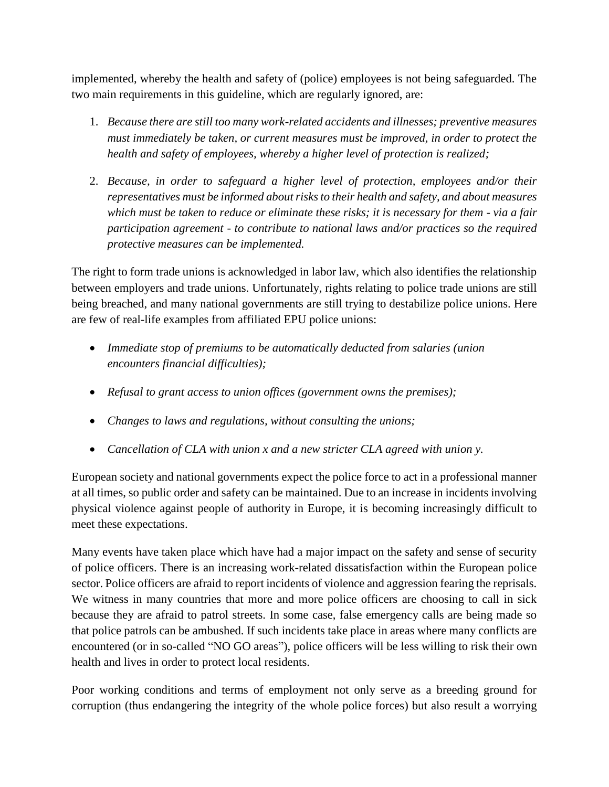implemented, whereby the health and safety of (police) employees is not being safeguarded. The two main requirements in this guideline, which are regularly ignored, are:

- 1. *Because there are still too many work-related accidents and illnesses; preventive measures must immediately be taken, or current measures must be improved, in order to protect the health and safety of employees, whereby a higher level of protection is realized;*
- 2. *Because, in order to safeguard a higher level of protection, employees and/or their representatives must be informed about risks to their health and safety, and about measures which must be taken to reduce or eliminate these risks; it is necessary for them - via a fair participation agreement - to contribute to national laws and/or practices so the required protective measures can be implemented.*

The right to form trade unions is acknowledged in labor law, which also identifies the relationship between employers and trade unions. Unfortunately, rights relating to police trade unions are still being breached, and many national governments are still trying to destabilize police unions. Here are few of real-life examples from affiliated EPU police unions:

- *Immediate stop of premiums to be automatically deducted from salaries (union encounters financial difficulties);*
- *Refusal to grant access to union offices (government owns the premises);*
- *Changes to laws and regulations, without consulting the unions;*
- *Cancellation of CLA with union x and a new stricter CLA agreed with union y.*

European society and national governments expect the police force to act in a professional manner at all times, so public order and safety can be maintained. Due to an increase in incidents involving physical violence against people of authority in Europe, it is becoming increasingly difficult to meet these expectations.

Many events have taken place which have had a major impact on the safety and sense of security of police officers. There is an increasing work-related dissatisfaction within the European police sector. Police officers are afraid to report incidents of violence and aggression fearing the reprisals. We witness in many countries that more and more police officers are choosing to call in sick because they are afraid to patrol streets. In some case, false emergency calls are being made so that police patrols can be ambushed. If such incidents take place in areas where many conflicts are encountered (or in so-called "NO GO areas"), police officers will be less willing to risk their own health and lives in order to protect local residents.

Poor working conditions and terms of employment not only serve as a breeding ground for corruption (thus endangering the integrity of the whole police forces) but also result a worrying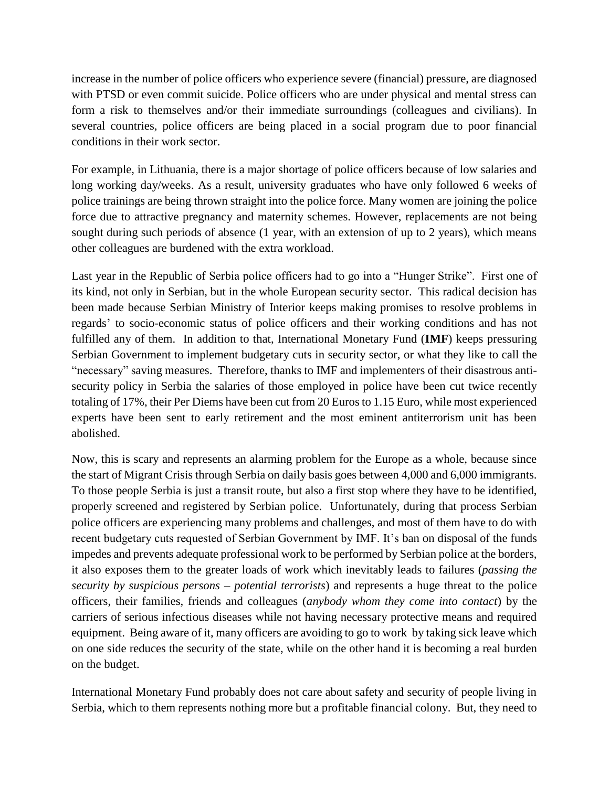increase in the number of police officers who experience severe (financial) pressure, are diagnosed with PTSD or even commit suicide. Police officers who are under physical and mental stress can form a risk to themselves and/or their immediate surroundings (colleagues and civilians). In several countries, police officers are being placed in a social program due to poor financial conditions in their work sector.

For example, in Lithuania, there is a major shortage of police officers because of low salaries and long working day/weeks. As a result, university graduates who have only followed 6 weeks of police trainings are being thrown straight into the police force. Many women are joining the police force due to attractive pregnancy and maternity schemes. However, replacements are not being sought during such periods of absence (1 year, with an extension of up to 2 years), which means other colleagues are burdened with the extra workload.

Last year in the Republic of Serbia police officers had to go into a "Hunger Strike". First one of its kind, not only in Serbian, but in the whole European security sector. This radical decision has been made because Serbian Ministry of Interior keeps making promises to resolve problems in regards' to socio-economic status of police officers and their working conditions and has not fulfilled any of them. In addition to that, International Monetary Fund (**IMF**) keeps pressuring Serbian Government to implement budgetary cuts in security sector, or what they like to call the "necessary" saving measures. Therefore, thanks to IMF and implementers of their disastrous antisecurity policy in Serbia the salaries of those employed in police have been cut twice recently totaling of 17%, their Per Diems have been cut from 20 Euros to 1.15 Euro, while most experienced experts have been sent to early retirement and the most eminent antiterrorism unit has been abolished.

Now, this is scary and represents an alarming problem for the Europe as a whole, because since the start of Migrant Crisis through Serbia on daily basis goes between 4,000 and 6,000 immigrants. To those people Serbia is just a transit route, but also a first stop where they have to be identified, properly screened and registered by Serbian police. Unfortunately, during that process Serbian police officers are experiencing many problems and challenges, and most of them have to do with recent budgetary cuts requested of Serbian Government by IMF. It's ban on disposal of the funds impedes and prevents adequate professional work to be performed by Serbian police at the borders, it also exposes them to the greater loads of work which inevitably leads to failures (*passing the security by suspicious persons – potential terrorists*) and represents a huge threat to the police officers, their families, friends and colleagues (*anybody whom they come into contact*) by the carriers of serious infectious diseases while not having necessary protective means and required equipment. Being aware of it, many officers are avoiding to go to work by taking sick leave which on one side reduces the security of the state, while on the other hand it is becoming a real burden on the budget.

International Monetary Fund probably does not care about safety and security of people living in Serbia, which to them represents nothing more but a profitable financial colony. But, they need to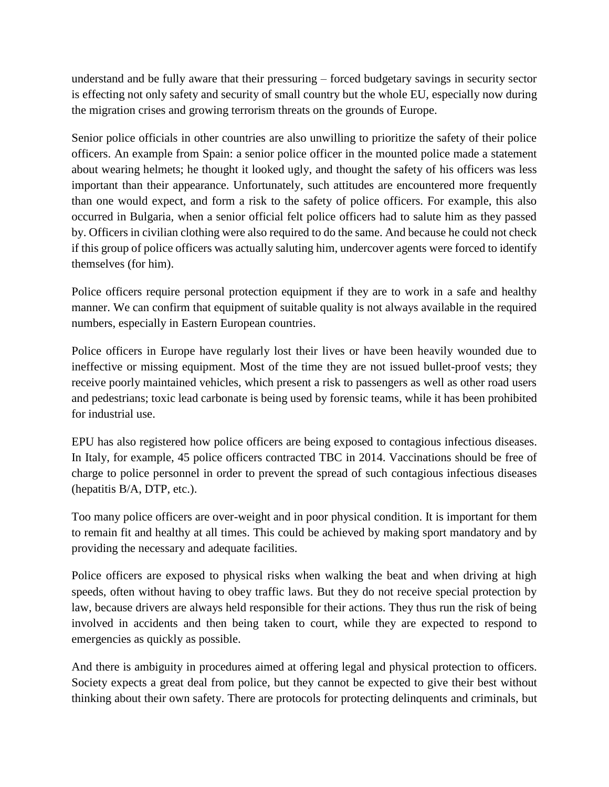understand and be fully aware that their pressuring – forced budgetary savings in security sector is effecting not only safety and security of small country but the whole EU, especially now during the migration crises and growing terrorism threats on the grounds of Europe.

Senior police officials in other countries are also unwilling to prioritize the safety of their police officers. An example from Spain: a senior police officer in the mounted police made a statement about wearing helmets; he thought it looked ugly, and thought the safety of his officers was less important than their appearance. Unfortunately, such attitudes are encountered more frequently than one would expect, and form a risk to the safety of police officers. For example, this also occurred in Bulgaria, when a senior official felt police officers had to salute him as they passed by. Officers in civilian clothing were also required to do the same. And because he could not check if this group of police officers was actually saluting him, undercover agents were forced to identify themselves (for him).

Police officers require personal protection equipment if they are to work in a safe and healthy manner. We can confirm that equipment of suitable quality is not always available in the required numbers, especially in Eastern European countries.

Police officers in Europe have regularly lost their lives or have been heavily wounded due to ineffective or missing equipment. Most of the time they are not issued bullet-proof vests; they receive poorly maintained vehicles, which present a risk to passengers as well as other road users and pedestrians; toxic lead carbonate is being used by forensic teams, while it has been prohibited for industrial use.

EPU has also registered how police officers are being exposed to contagious infectious diseases. In Italy, for example, 45 police officers contracted TBC in 2014. Vaccinations should be free of charge to police personnel in order to prevent the spread of such contagious infectious diseases (hepatitis B/A, DTP, etc.).

Too many police officers are over-weight and in poor physical condition. It is important for them to remain fit and healthy at all times. This could be achieved by making sport mandatory and by providing the necessary and adequate facilities.

Police officers are exposed to physical risks when walking the beat and when driving at high speeds, often without having to obey traffic laws. But they do not receive special protection by law, because drivers are always held responsible for their actions. They thus run the risk of being involved in accidents and then being taken to court, while they are expected to respond to emergencies as quickly as possible.

And there is ambiguity in procedures aimed at offering legal and physical protection to officers. Society expects a great deal from police, but they cannot be expected to give their best without thinking about their own safety. There are protocols for protecting delinquents and criminals, but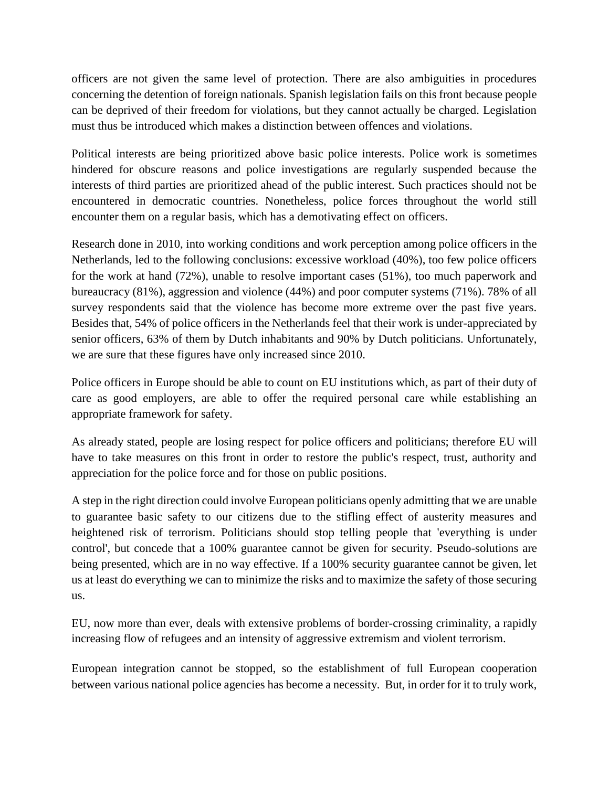officers are not given the same level of protection. There are also ambiguities in procedures concerning the detention of foreign nationals. Spanish legislation fails on this front because people can be deprived of their freedom for violations, but they cannot actually be charged. Legislation must thus be introduced which makes a distinction between offences and violations.

Political interests are being prioritized above basic police interests. Police work is sometimes hindered for obscure reasons and police investigations are regularly suspended because the interests of third parties are prioritized ahead of the public interest. Such practices should not be encountered in democratic countries. Nonetheless, police forces throughout the world still encounter them on a regular basis, which has a demotivating effect on officers.

Research done in 2010, into working conditions and work perception among police officers in the Netherlands, led to the following conclusions: excessive workload (40%), too few police officers for the work at hand (72%), unable to resolve important cases (51%), too much paperwork and bureaucracy (81%), aggression and violence (44%) and poor computer systems (71%). 78% of all survey respondents said that the violence has become more extreme over the past five years. Besides that, 54% of police officers in the Netherlands feel that their work is under-appreciated by senior officers, 63% of them by Dutch inhabitants and 90% by Dutch politicians. Unfortunately, we are sure that these figures have only increased since 2010.

Police officers in Europe should be able to count on EU institutions which, as part of their duty of care as good employers, are able to offer the required personal care while establishing an appropriate framework for safety.

As already stated, people are losing respect for police officers and politicians; therefore EU will have to take measures on this front in order to restore the public's respect, trust, authority and appreciation for the police force and for those on public positions.

A step in the right direction could involve European politicians openly admitting that we are unable to guarantee basic safety to our citizens due to the stifling effect of austerity measures and heightened risk of terrorism. Politicians should stop telling people that 'everything is under control', but concede that a 100% guarantee cannot be given for security. Pseudo-solutions are being presented, which are in no way effective. If a 100% security guarantee cannot be given, let us at least do everything we can to minimize the risks and to maximize the safety of those securing us.

EU, now more than ever, deals with extensive problems of border-crossing criminality, a rapidly increasing flow of refugees and an intensity of aggressive extremism and violent terrorism.

European integration cannot be stopped, so the establishment of full European cooperation between various national police agencies has become a necessity. But, in order for it to truly work,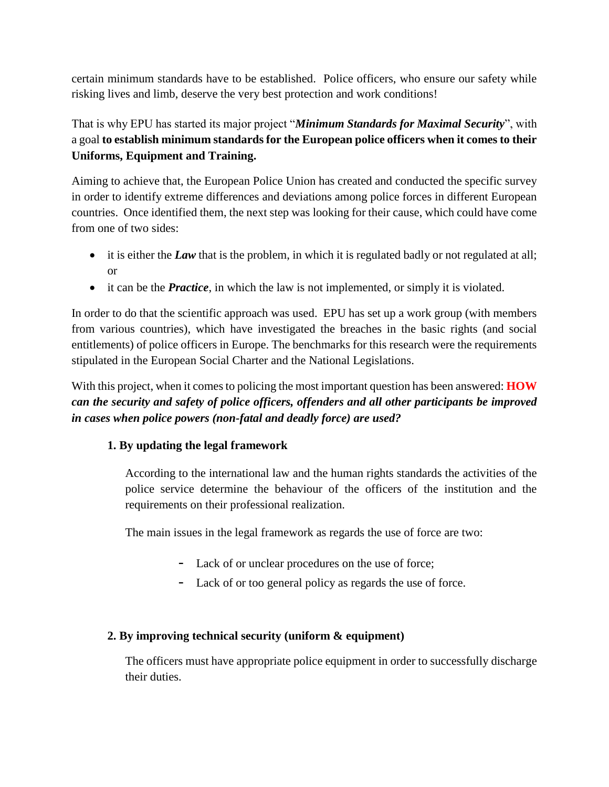certain minimum standards have to be established. Police officers, who ensure our safety while risking lives and limb, deserve the very best protection and work conditions!

That is why EPU has started its major project "*Minimum Standards for Maximal Security*", with a goal **to establish minimum standards for the European police officers when it comes to their Uniforms, Equipment and Training.**

Aiming to achieve that, the European Police Union has created and conducted the specific survey in order to identify extreme differences and deviations among police forces in different European countries. Once identified them, the next step was looking for their cause, which could have come from one of two sides:

- it is either the *Law* that is the problem, in which it is regulated badly or not regulated at all; or
- it can be the *Practice*, in which the law is not implemented, or simply it is violated.

In order to do that the scientific approach was used. EPU has set up a work group (with members from various countries), which have investigated the breaches in the basic rights (and social entitlements) of police officers in Europe. The benchmarks for this research were the requirements stipulated in the European Social Charter and the National Legislations.

With this project, when it comes to policing the most important question has been answered: **HOW** *can the security and safety of police officers, offenders and all other participants be improved in cases when police powers (non-fatal and deadly force) are used?*

## **1. By updating the legal framework**

According to the international law and the human rights standards the activities of the police service determine the behaviour of the officers of the institution and the requirements on their professional realization.

The main issues in the legal framework as regards the use of force are two:

- Lack of or unclear procedures on the use of force;
- Lack of or too general policy as regards the use of force.

## **2. By improving technical security (uniform & equipment)**

The officers must have appropriate police equipment in order to successfully discharge their duties.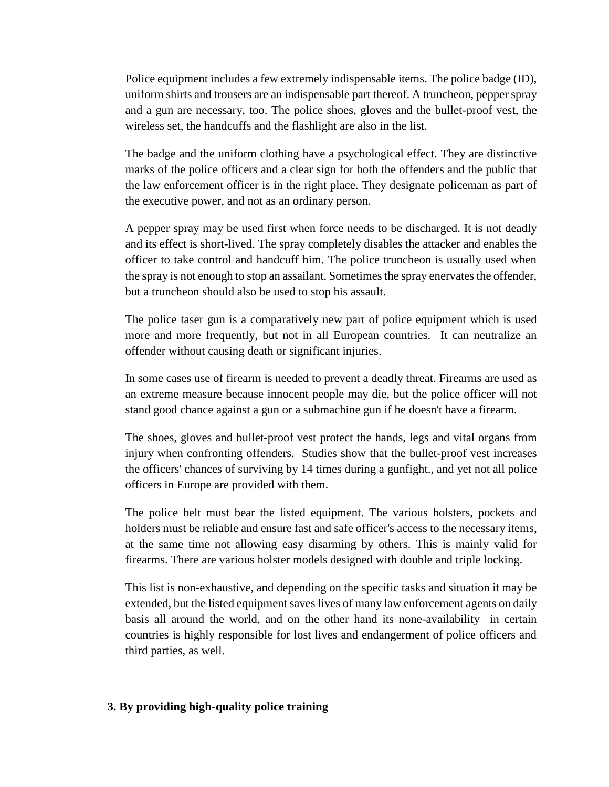Police equipment includes a few extremely indispensable items. The police badge (ID), uniform shirts and trousers are an indispensable part thereof. A truncheon, pepper spray and a gun are necessary, too. The police shoes, gloves and the bullet-proof vest, the wireless set, the handcuffs and the flashlight are also in the list.

The badge and the uniform clothing have a psychological effect. They are distinctive marks of the police officers and a clear sign for both the offenders and the public that the law enforcement officer is in the right place. They designate policeman as part of the executive power, and not as an ordinary person.

A pepper spray may be used first when force needs to be discharged. It is not deadly and its effect is short-lived. The spray completely disables the attacker and enables the officer to take control and handcuff him. The police truncheon is usually used when the spray is not enough to stop an assailant. Sometimes the spray enervates the offender, but a truncheon should also be used to stop his assault.

The police taser gun is a comparatively new part of police equipment which is used more and more frequently, but not in all European countries. It can neutralize an offender without causing death or significant injuries.

In some cases use of firearm is needed to prevent a deadly threat. Firearms are used as an extreme measure because innocent people may die, but the police officer will not stand good chance against a gun or a submachine gun if he doesn't have a firearm.

The shoes, gloves and bullet-proof vest protect the hands, legs and vital organs from injury when confronting offenders. Studies show that the bullet-proof vest increases the officers' chances of surviving by 14 times during a gunfight., and yet not all police officers in Europe are provided with them.

The police belt must bear the listed equipment. The various holsters, pockets and holders must be reliable and ensure fast and safe officer's access to the necessary items, at the same time not allowing easy disarming by others. This is mainly valid for firearms. There are various holster models designed with double and triple locking.

This list is non-exhaustive, and depending on the specific tasks and situation it may be extended, but the listed equipment saves lives of many law enforcement agents on daily basis all around the world, and on the other hand its none-availability in certain countries is highly responsible for lost lives and endangerment of police officers and third parties, as well.

## **3. By providing high-quality police training**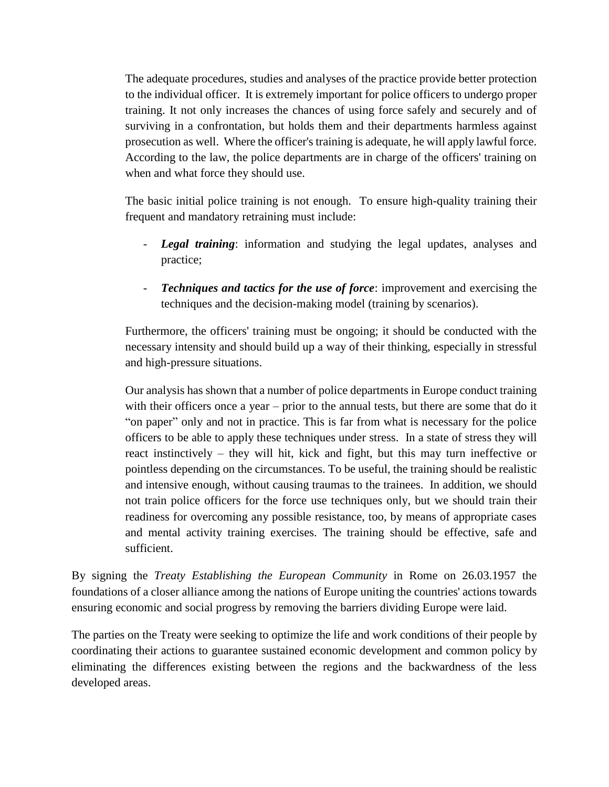The adequate procedures, studies and analyses of the practice provide better protection to the individual officer. It is extremely important for police officers to undergo proper training. It not only increases the chances of using force safely and securely and of surviving in a confrontation, but holds them and their departments harmless against prosecution as well. Where the officer's training is adequate, he will apply lawful force. According to the law, the police departments are in charge of the officers' training on when and what force they should use.

The basic initial police training is not enough. To ensure high-quality training their frequent and mandatory retraining must include:

- *Legal training*: information and studying the legal updates, analyses and practice;
- *Techniques and tactics for the use of force*: improvement and exercising the techniques and the decision-making model (training by scenarios).

Furthermore, the officers' training must be ongoing; it should be conducted with the necessary intensity and should build up a way of their thinking, especially in stressful and high-pressure situations.

Our analysis has shown that a number of police departments in Europe conduct training with their officers once a year – prior to the annual tests, but there are some that do it "on paper" only and not in practice. This is far from what is necessary for the police officers to be able to apply these techniques under stress. In a state of stress they will react instinctively – they will hit, kick and fight, but this may turn ineffective or pointless depending on the circumstances. To be useful, the training should be realistic and intensive enough, without causing traumas to the trainees. In addition, we should not train police officers for the force use techniques only, but we should train their readiness for overcoming any possible resistance, too, by means of appropriate cases and mental activity training exercises. The training should be effective, safe and sufficient.

By signing the *Treaty Establishing the European Community* in Rome on 26.03.1957 the foundations of a closer alliance among the nations of Europe uniting the countries' actions towards ensuring economic and social progress by removing the barriers dividing Europe were laid.

The parties on the Treaty were seeking to optimize the life and work conditions of their people by coordinating their actions to guarantee sustained economic development and common policy by eliminating the differences existing between the regions and the backwardness of the less developed areas.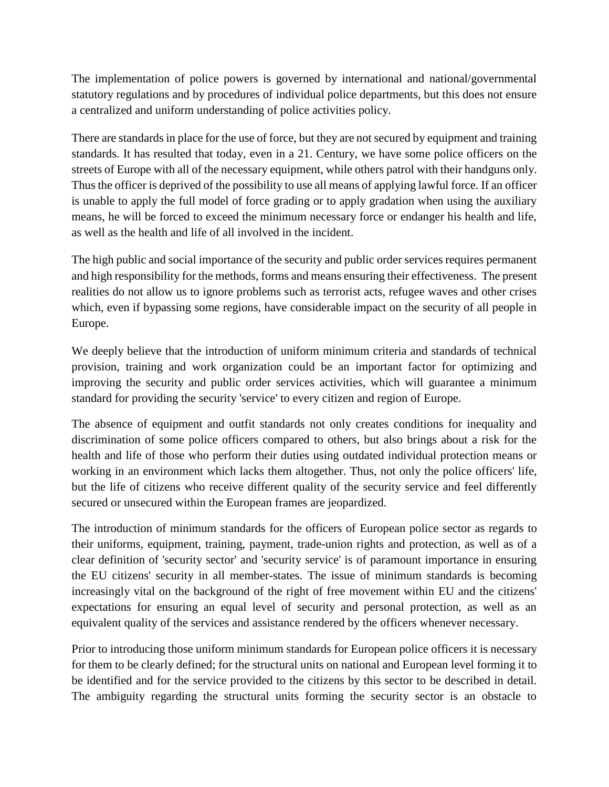The implementation of police powers is governed by international and national/governmental statutory regulations and by procedures of individual police departments, but this does not ensure a centralized and uniform understanding of police activities policy.

There are standards in place for the use of force, but they are not secured by equipment and training standards. It has resulted that today, even in a 21. Century, we have some police officers on the streets of Europe with all of the necessary equipment, while others patrol with their handguns only. Thus the officer is deprived of the possibility to use all means of applying lawful force. If an officer is unable to apply the full model of force grading or to apply gradation when using the auxiliary means, he will be forced to exceed the minimum necessary force or endanger his health and life, as well as the health and life of all involved in the incident.

The high public and social importance of the security and public order services requires permanent and high responsibility for the methods, forms and means ensuring their effectiveness. The present realities do not allow us to ignore problems such as terrorist acts, refugee waves and other crises which, even if bypassing some regions, have considerable impact on the security of all people in Europe.

We deeply believe that the introduction of uniform minimum criteria and standards of technical provision, training and work organization could be an important factor for optimizing and improving the security and public order services activities, which will guarantee a minimum standard for providing the security 'service' to every citizen and region of Europe.

The absence of equipment and outfit standards not only creates conditions for inequality and discrimination of some police officers compared to others, but also brings about a risk for the health and life of those who perform their duties using outdated individual protection means or working in an environment which lacks them altogether. Thus, not only the police officers' life, but the life of citizens who receive different quality of the security service and feel differently secured or unsecured within the European frames are jeopardized.

The introduction of minimum standards for the officers of European police sector as regards to their uniforms, equipment, training, payment, trade-union rights and protection, as well as of a clear definition of 'security sector' and 'security service' is of paramount importance in ensuring the EU citizens' security in all member-states. The issue of minimum standards is becoming increasingly vital on the background of the right of free movement within EU and the citizens' expectations for ensuring an equal level of security and personal protection, as well as an equivalent quality of the services and assistance rendered by the officers whenever necessary.

Prior to introducing those uniform minimum standards for European police officers it is necessary for them to be clearly defined; for the structural units on national and European level forming it to be identified and for the service provided to the citizens by this sector to be described in detail. The ambiguity regarding the structural units forming the security sector is an obstacle to